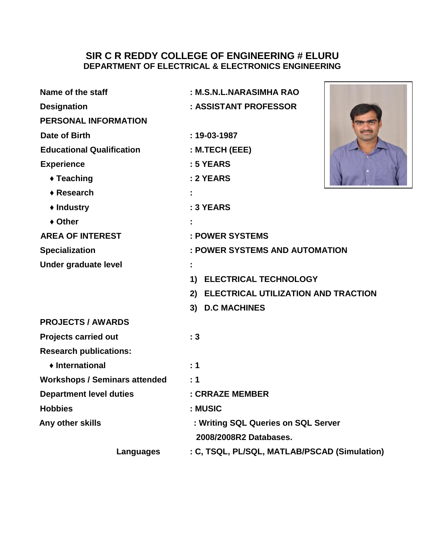#### **SIR C R REDDY COLLEGE OF ENGINEERING # ELURU DEPARTMENT OF ELECTRICAL & ELECTRONICS ENGINEERING**

 $\mathsf{r}$ 

| Name of the staff                    | : M.S.N.L.NARASIMHA RAO                      |
|--------------------------------------|----------------------------------------------|
| <b>Designation</b>                   | : ASSISTANT PROFESSOR                        |
| <b>PERSONAL INFORMATION</b>          |                                              |
| Date of Birth                        | $: 19 - 03 - 1987$                           |
| <b>Educational Qualification</b>     | $:$ M.TECH (EEE)                             |
| <b>Experience</b>                    | : 5 YEARS                                    |
| ◆ Teaching                           | : 2 YEARS                                    |
| $\triangle$ Research                 |                                              |
| ◆ Industry                           | : 3 YEARS                                    |
| ◆ Other                              |                                              |
| <b>AREA OF INTEREST</b>              | : POWER SYSTEMS                              |
| <b>Specialization</b>                | : POWER SYSTEMS AND AUTOMATION               |
| Under graduate level                 |                                              |
|                                      | 1) ELECTRICAL TECHNOLOGY                     |
|                                      | 2) ELECTRICAL UTILIZATION AND TRACTION       |
|                                      | 3) D.C MACHINES                              |
| <b>PROJECTS / AWARDS</b>             |                                              |
| <b>Projects carried out</b>          | :3                                           |
| <b>Research publications:</b>        |                                              |
| ♦ International                      | : 1                                          |
| <b>Workshops / Seminars attended</b> | : 1                                          |
| <b>Department level duties</b>       | : CRRAZE MEMBER                              |
| <b>Hobbies</b>                       | : MUSIC                                      |
| Any other skills                     | : Writing SQL Queries on SQL Server          |
|                                      | 2008/2008R2 Databases.                       |
| Languages                            | : C, TSQL, PL/SQL, MATLAB/PSCAD (Simulation) |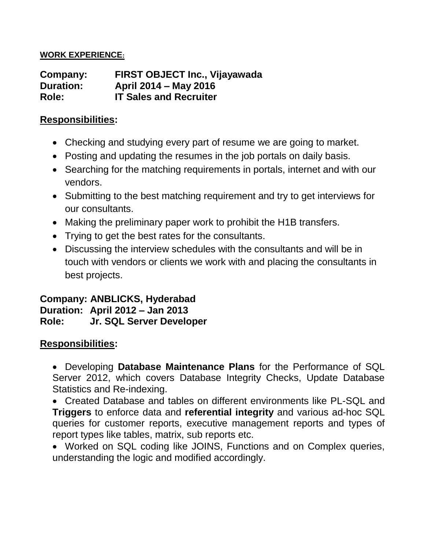#### **WORK EXPERIENCE:**

**Company: FIRST OBJECT Inc., Vijayawada Duration: April 2014 – May 2016 Role: IT Sales and Recruiter**

### **Responsibilities:**

- Checking and studying every part of resume we are going to market.
- Posting and updating the resumes in the job portals on daily basis.
- Searching for the matching requirements in portals, internet and with our vendors.
- Submitting to the best matching requirement and try to get interviews for our consultants.
- Making the preliminary paper work to prohibit the H1B transfers.
- Trying to get the best rates for the consultants.
- Discussing the interview schedules with the consultants and will be in touch with vendors or clients we work with and placing the consultants in best projects.

### **Company: ANBLICKS, Hyderabad Duration: April 2012 – Jan 2013 Role: Jr. SQL Server Developer**

## **Responsibilities:**

• Developing **Database Maintenance Plans** for the Performance of SQL Server 2012, which covers Database Integrity Checks, Update Database Statistics and Re-indexing.

• Created Database and tables on different environments like PL-SQL and **Triggers** to enforce data and **referential integrity** and various ad-hoc SQL queries for customer reports, executive management reports and types of report types like tables, matrix, sub reports etc.

• Worked on SQL coding like JOINS, Functions and on Complex queries, understanding the logic and modified accordingly.